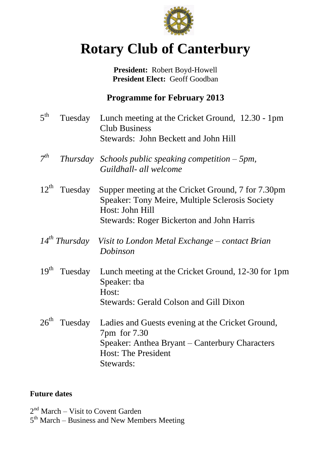

# **Rotary Club of Canterbury**

**President:** Robert Boyd-Howell **President Elect:** Geoff Goodban

#### **Programme for February 2013**

| 5 <sup>th</sup>  | Tuesday                  | Lunch meeting at the Cricket Ground, 12.30 - 1pm<br><b>Club Business</b><br>Stewards: John Beckett and John Hill                                                             |
|------------------|--------------------------|------------------------------------------------------------------------------------------------------------------------------------------------------------------------------|
| $7^{th}$         | <i>Thursday</i>          | Schools public speaking competition $-5pm$ ,<br>Guildhall- all welcome                                                                                                       |
|                  | $12^{\text{th}}$ Tuesday | Supper meeting at the Cricket Ground, 7 for 7.30pm<br>Speaker: Tony Meire, Multiple Sclerosis Society<br>Host: John Hill<br><b>Stewards: Roger Bickerton and John Harris</b> |
|                  | $14^{th}$ Thursday       | Visit to London Metal Exchange – contact Brian<br>Dobinson                                                                                                                   |
| 19 <sup>th</sup> | Tuesday                  | Lunch meeting at the Cricket Ground, 12-30 for 1pm<br>Speaker: tba<br>Host:<br><b>Stewards: Gerald Colson and Gill Dixon</b>                                                 |
| $26^{\text{th}}$ | Tuesday                  | Ladies and Guests evening at the Cricket Ground,<br>7pm for 7.30<br>Speaker: Anthea Bryant – Canterbury Characters<br><b>Host: The President</b><br>Stewards:                |

#### **Future dates**

2<sup>nd</sup> March – Visit to Covent Garden

5<sup>th</sup> March – Business and New Members Meeting